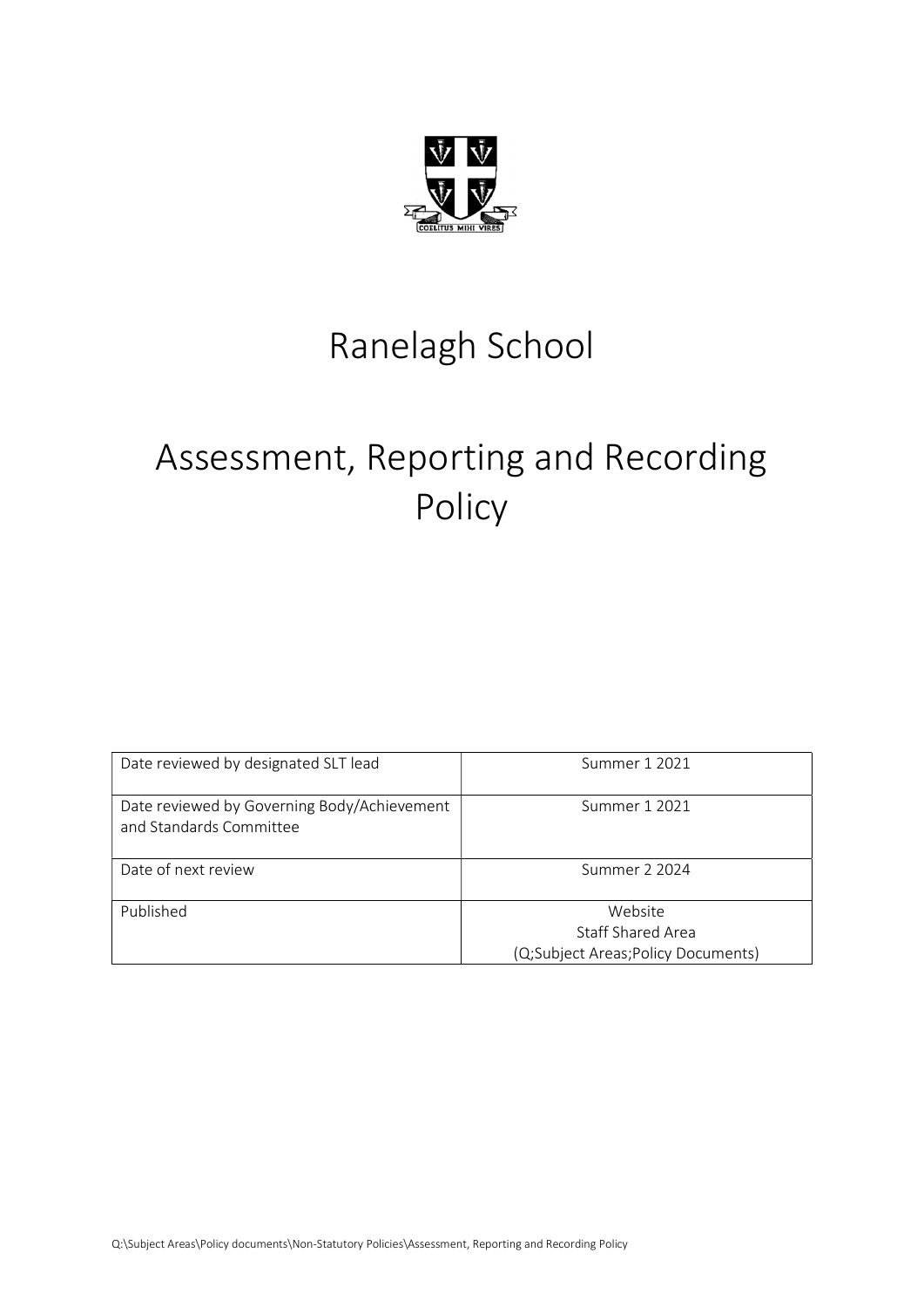

## Ranelagh School

# Assessment, Reporting and Recording Policy

| Date reviewed by designated SLT lead                                   | Summer 1 2021                                                      |
|------------------------------------------------------------------------|--------------------------------------------------------------------|
| Date reviewed by Governing Body/Achievement<br>and Standards Committee | Summer 1 2021                                                      |
| Date of next review                                                    | Summer 2 2024                                                      |
| Published                                                              | Website<br>Staff Shared Area<br>(Q;Subject Areas;Policy Documents) |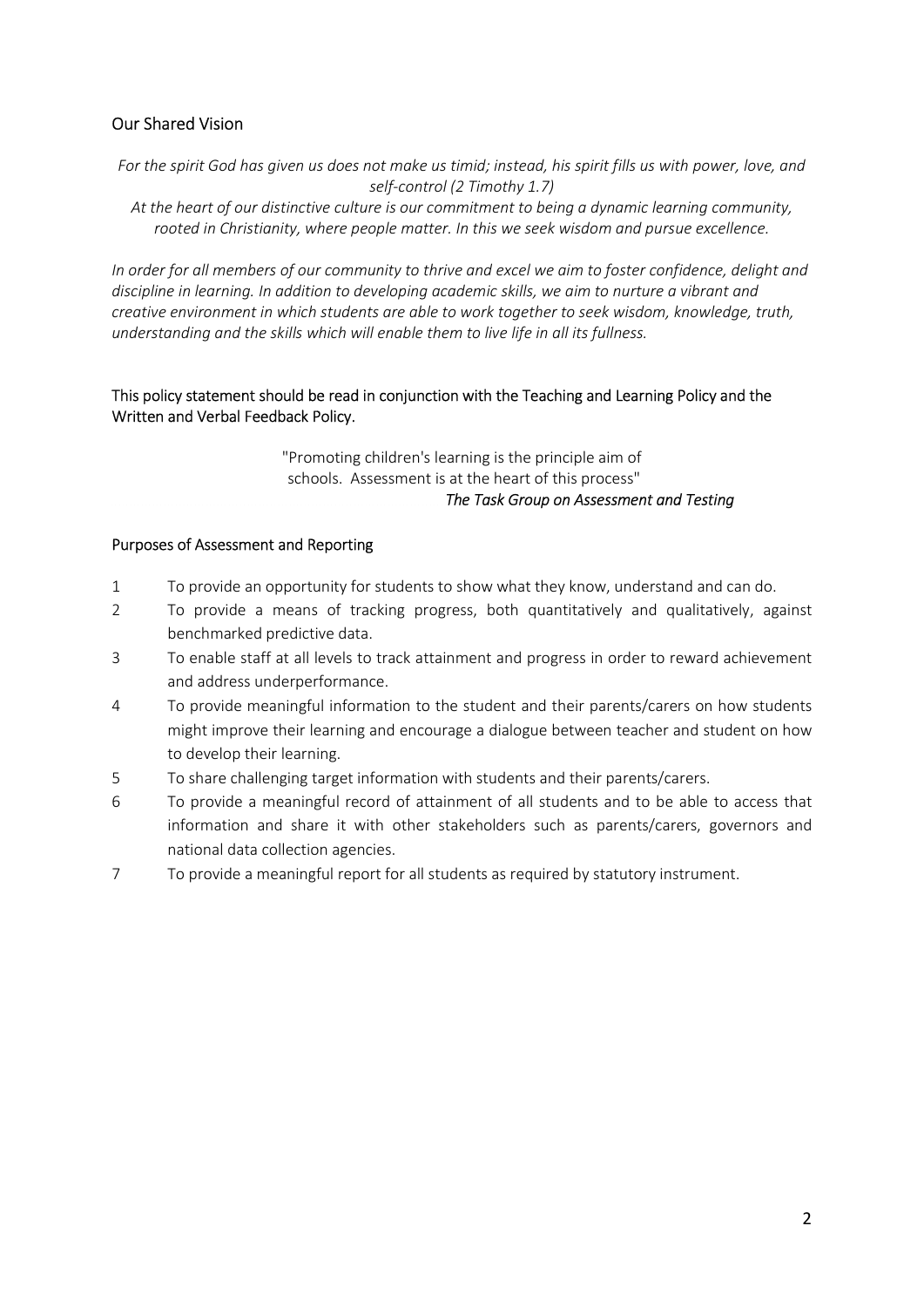## Our Shared Vision

For the spirit God has given us does not make us timid; instead, his spirit fills us with power, love, and self-control (2 Timothy 1.7)

At the heart of our distinctive culture is our commitment to being a dynamic learning community, rooted in Christianity, where people matter. In this we seek wisdom and pursue excellence.

In order for all members of our community to thrive and excel we aim to foster confidence, delight and discipline in learning. In addition to developing academic skills, we aim to nurture a vibrant and creative environment in which students are able to work together to seek wisdom, knowledge, truth, understanding and the skills which will enable them to live life in all its fullness.

## This policy statement should be read in conjunction with the Teaching and Learning Policy and the Written and Verbal Feedback Policy.

"Promoting children's learning is the principle aim of schools. Assessment is at the heart of this process" The Task Group on Assessment and Testing

#### Purposes of Assessment and Reporting

- 1 To provide an opportunity for students to show what they know, understand and can do.
- 2 To provide a means of tracking progress, both quantitatively and qualitatively, against benchmarked predictive data.
- 3 To enable staff at all levels to track attainment and progress in order to reward achievement and address underperformance.
- 4 To provide meaningful information to the student and their parents/carers on how students might improve their learning and encourage a dialogue between teacher and student on how to develop their learning.
- 5 To share challenging target information with students and their parents/carers.
- 6 To provide a meaningful record of attainment of all students and to be able to access that information and share it with other stakeholders such as parents/carers, governors and national data collection agencies.
- 7 To provide a meaningful report for all students as required by statutory instrument.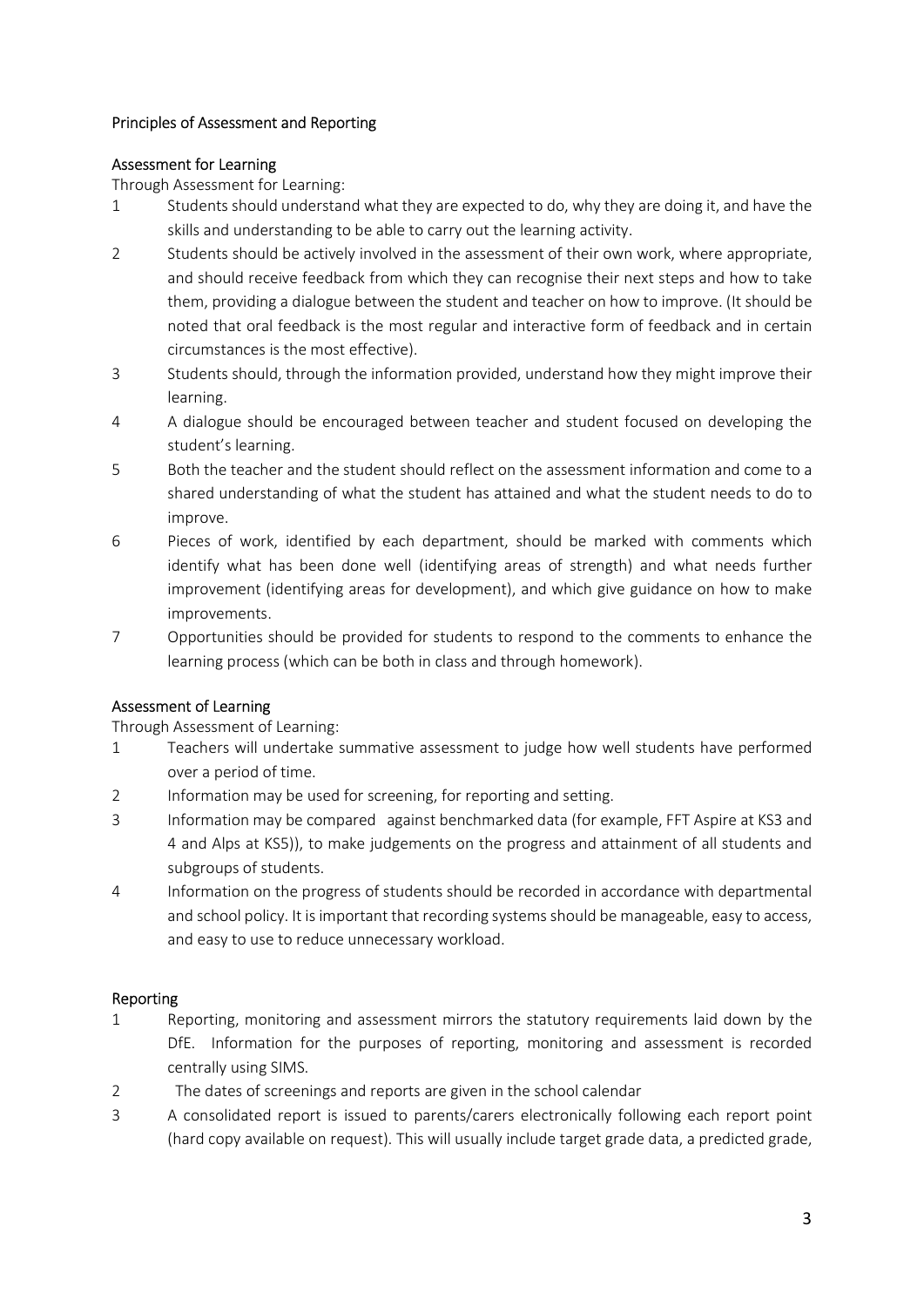### Principles of Assessment and Reporting

## Assessment for Learning

Through Assessment for Learning:

- 1 Students should understand what they are expected to do, why they are doing it, and have the skills and understanding to be able to carry out the learning activity.
- 2 Students should be actively involved in the assessment of their own work, where appropriate, and should receive feedback from which they can recognise their next steps and how to take them, providing a dialogue between the student and teacher on how to improve. (It should be noted that oral feedback is the most regular and interactive form of feedback and in certain circumstances is the most effective).
- 3 Students should, through the information provided, understand how they might improve their learning.
- 4 A dialogue should be encouraged between teacher and student focused on developing the student's learning.
- 5 Both the teacher and the student should reflect on the assessment information and come to a shared understanding of what the student has attained and what the student needs to do to improve.
- 6 Pieces of work, identified by each department, should be marked with comments which identify what has been done well (identifying areas of strength) and what needs further improvement (identifying areas for development), and which give guidance on how to make improvements.
- 7 Opportunities should be provided for students to respond to the comments to enhance the learning process (which can be both in class and through homework).

## Assessment of Learning

Through Assessment of Learning:

- 1 Teachers will undertake summative assessment to judge how well students have performed over a period of time.
- 2 Information may be used for screening, for reporting and setting.
- 3 Information may be compared against benchmarked data (for example, FFT Aspire at KS3 and 4 and Alps at KS5)), to make judgements on the progress and attainment of all students and subgroups of students.
- 4 Information on the progress of students should be recorded in accordance with departmental and school policy. It is important that recording systems should be manageable, easy to access, and easy to use to reduce unnecessary workload.

#### Reporting

- 1 Reporting, monitoring and assessment mirrors the statutory requirements laid down by the DfE. Information for the purposes of reporting, monitoring and assessment is recorded centrally using SIMS.
- 2 The dates of screenings and reports are given in the school calendar
- 3 A consolidated report is issued to parents/carers electronically following each report point (hard copy available on request). This will usually include target grade data, a predicted grade,